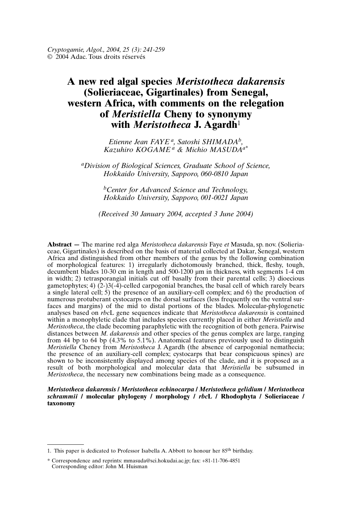*Cryptogamie, Algol., 2004, 25 (3): 241-259* © 2004 Adac. Tous droits réservés

# **A new red algal species** *Meristotheca dakarensis* **(Solieriaceae, Gigartinales) from Senegal, western Africa, with comments on the relegation of** *Meristiella* **Cheny to synonymy with** *Meristotheca* **J. Agardh**<sup>1</sup>

*Etienne Jean FAYE a, Satoshi SHIMADAb, Kazuhiro KOGAME <sup>a</sup> & Michio MASUDAa\**

*aDivision of Biological Sciences, Graduate School of Science, Hokkaido University, Sapporo, 060-0810 Japan*

> *bCenter for Advanced Science and Technology, Hokkaido University, Sapporo, 001-0021 Japan*

*(Received 30 January 2004, accepted 3 June 2004)*

**Abstract —** The marine red alga *Meristotheca dakarensis* Faye *et* Masuda, sp. nov. (Solieriaceae, Gigartinales) is described on the basis of material collected at Dakar, Senegal, western Africa and distinguished from other members of the genus by the following combination of morphological features: 1) irregularly dichotomously branched, thick, fleshy, tough, decumbent blades 10-30 cm in length and 500-1200 µm in thickness, with segments 1-4 cm in width; 2) tetrasporangial initials cut off basally from their parental cells; 3) dioecious gametophytes; 4)  $(2-)3(-4)$ -celled carpogonial branches, the basal cell of which rarely bears a single lateral cell;  $5$ ) the presence of an auxiliary-cell complex; and 6) the production of numerous protuberant cystocarps on the dorsal surfaces (less frequently on the ventral surfaces and margins) of the mid to distal portions of the blades. Molecular-phylogenetic analyses based on *rbc*L gene sequences indicate that *Meristotheca dakarensis* is contained within a monophyletic clade that includes species currently placed in either *Meristiella* and *Meristotheca*, the clade becoming paraphyletic with the recognition of both genera. Pairwise distances between *M. dakarensis* and other species of the genus complex are large, ranging from 44 bp to 64 bp (4.3% to 5.1%). Anatomical features previously used to distinguish *Meristiella* Cheney from *Meristotheca* J. Agardh (the absence of carpogonial nemathecia; the presence of an auxiliary-cell complex; cystocarps that bear conspicuous spines) are shown to be inconsistently displayed among species of the clade, and it is proposed as a result of both morphological and molecular data that *Meristiella* be subsumed in *Meristotheca*, the necessary new combinations being made as a consequence.

*Meristotheca dakarensis* **/** *Meristotheca echinocarpa* **/** *Meristotheca gelidium* **/** *Meristotheca schrammii* **/ molecular phylogeny / morphology /** *rbc***L / Rhodophyta / Solieriaceae / taxonomy**

<sup>1.</sup> This paper is dedicated to Professor Isabella A. Abbott to honour her 85th birthday.

<sup>\*</sup> Correspondence and reprints: mmasuda@sci.hokudai.ac.jp; fax: +81-11-706-4851 Corresponding editor: John M. Huisman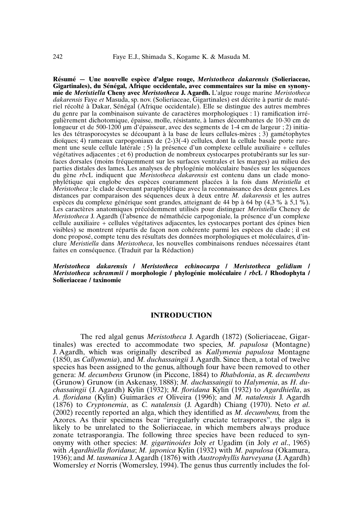**Résumé — Une nouvelle espèce d'algue rouge,** *Meristotheca dakarensis* **(Solieriaceae, Gigartinales), du Sénégal, Afrique occidentale, avec commentaires sur la mise en synonymie de** *Meristiella* **Cheny avec** *Meristotheca* **J. Agardh.** L'algue rouge marine *Meristotheca dakarensis* Faye *et* Masuda, sp. nov. (Solieriaceae, Gigartinales) est décrite à partir de matériel récolté à Dakar, Sénégal (Afrique occidentale). Elle se distingue des autres membres du genre par la combinaison suivante de caractères morphologiques : 1) ramification irrégulièrement dichotomique, épaisse, molle, résistante, à lames décombantes de 10-30 cm de longueur et de 500-1200 µm d'épaisseur, avec des segments de 1-4 cm de largeur ; 2) initiales des tétrasporocystes se découpant à la base de leurs cellules-mères ; 3) gamétophytes dioïques; 4) rameaux carpogoniaux de (2-)3(-4) cellules, dont la cellule basale porte rarement une seule cellule latérale ; 5) la présence d'un complexe cellule auxiliaire + cellules végétatives adjacentes ; et 6) production de nombreux cystocarpes protubérants sur les surfaces dorsales (moins fréquemment sur les surfaces ventrales et les marges) au milieu des parties distales des lames. Les analyses de phylogénie moléculaire basées sur les séquences du gène *rbc*L indiquent que *Meristotheca dakarensis* est contenu dans un clade monophylétique qui englobe des espèces couramment placées à la fois dans *Meristiella* et *Meristotheca* ; le clade devenant paraphylétique avec la reconnaissance des deux genres. Les distances par comparaison des séquences deux à deux entre *M. dakarensis* et les autres espèces du complexe générique sont grandes, atteignant de 44 bp à 64 bp (4,3 % à 5,1 %). Les caractères anatomiques précédemment utilisés pour distinguer *Meristiella* Cheney de *Meristotheca* J. Agardh (l'absence de némathécie carpogoniale, la présence d'un complexe cellule auxiliaire + cellules végétatives adjacentes, les cystocarpes portant des épines bien visibles) se montrent répartis de façon non cohérente parmi les espèces du clade ; il est donc proposé, compte tenu des résultats des données morphologiques et moléculaires, d'inclure *Meristiella* dans *Meristotheca*, les nouvelles combinaisons rendues nécessaires étant faites en conséquence. (Traduit par la Rédaction)

*Meristotheca dakarensis* **/** *Meristotheca echinocarpa* **/** *Meristotheca gelidium* **/** *Meristotheca schrammii* **/ morphologie / phylogénie moléculaire /** *rbc***L / Rhodophyta / Solieriaceae / taxinomie**

### **INTRODUCTION**

The red algal genus *Meristotheca* J. Agardh (1872) (Solieriaceae, Gigartinales) was erected to accommodate two species, *M. papulosa* (Montagne) J. Agardh, which was originally described as *Kallymenia papulosa* Montagne (1850, as *Callymenia*), and *M. duchassaingii* J. Agardh. Since then, a total of twelve species has been assigned to the genus, although four have been removed to other genera: *M. decumbens* Grunow (in Piccone, 1884) to *Rhabdonia*, as *R. decumbens* (Grunow) Grunow (in Askenasy, 1888); *M. duchassaingii* to *Halymenia*, as *H. duchassaingii* (J. Agardh) Kylin (1932); *M. floridana* Kylin (1932) to *Agardhiella*, as *A. floridana* (Kylin) Guimarães *et* Oliveira (1996); and *M. natalensis* J. Agardh (1876) to *Cryptonemia*, as *C. natalensis* (J. Agardh) Chiang (1970). Neto *et al*. (2002) recently reported an alga, which they identified as *M. decumbens,* from the Azores. As their specimens bear "irregularly cruciate tetraspores", the alga is likely to be unrelated to the Solieriaceae, in which members always produce zonate tetrasporangia. The following three species have been reduced to synonymy with other species: *M. gigartinoides* Joly *et* Ugadim (in Joly *et al*., 1965) with *Agardhiella floridana*; *M. japonica* Kylin (1932) with *M. papulosa* (Okamura, 1936); and *M. tasmanica* J. Agardh (1876) with *Austrophyllis harveyana* (J. Agardh) Womersley *et* Norris (Womersley, 1994). The genus thus currently includes the fol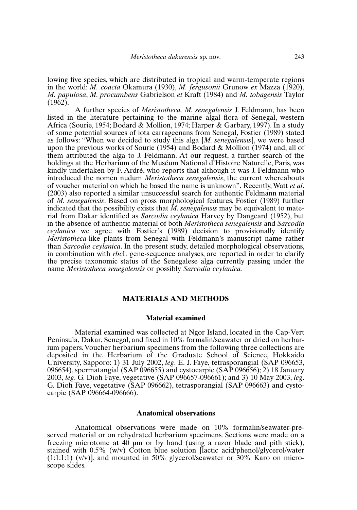lowing five species, which are distributed in tropical and warm-temperate regions in the world: *M. coacta* Okamura (1930), *M. fergusonii* Grunow *ex* Mazza (1920), *M. papulosa*, *M. procumbens* Gabrielson *et* Kraft (1984) and *M. tobagensis* Taylor  $(1962)$ .

A further species of *Meristotheca, M. senegalensis* J. Feldmann, has been listed in the literature pertaining to the marine algal flora of Senegal, western Africa (Sourie, 1954; Bodard & Mollion, 1974; Harper & Garbary, 1997). In a study of some potential sources of iota carrageenans from Senegal, Fostier (1989) stated as follows: "When we decided to study this alga [*M. senegalensis*], we were based upon the previous works of Sourie (1954) and Bodard & Mollion (1974) and, all of them attributed the alga to J. Feldmann. At our request, a further search of the holdings at the Herbarium of the Muséum National d'Histoire Naturelle, Paris, was kindly undertaken by F. Ardré, who reports that although it was J. Feldmann who introduced the nomen nudum *Meristotheca senegalensis*, the current whereabouts of voucher material on which he based the name is unknown". Recently, Watt *et al*. (2003) also reported a similar unsuccessful search for authentic Feldmann material of *M. senegalensis*. Based on gross morphological features, Fostier (1989) further indicated that the possibility exists that *M. senegalensis* may be equivalent to material from Dakar identified as *Sarcodia ceylanica* Harvey by Dangeard (1952), but in the absence of authentic material of both *Meristotheca senegalensis* and *Sarcodia ceylanica* we agree with Fostier's (1989) decision to provisionally identify *Meristotheca*-like plants from Senegal with Feldmann's manuscript name rather than *Sarcodia ceylanica*. In the present study, detailed morphological observations, in combination with *rbc*L gene-sequence analyses, are reported in order to clarify the precise taxonomic status of the Senegalese alga currently passing under the name *Meristotheca senegalensis* or possibly *Sarcodia ceylanica.*

# **MATERIALS AND METHODS**

#### **Material examined**

Material examined was collected at Ngor Island, located in the Cap-Vert Peninsula, Dakar, Senegal, and fixed in 10% formalin/seawater or dried on herbarium papers. Voucher herbarium specimens from the following three collections are deposited in the Herbarium of the Graduate School of Science, Hokkaido University, Sapporo: 1) 31 July 2002, *leg*. E. J. Faye, tetrasporangial (SAP 096653, 096654), spermatangial (SAP 096655) and cystocarpic (SAP 096656); 2) 18 January 2003, *leg*. G. Dioh Faye, vegetative (SAP 096657-096661); and 3) 10 May 2003, *leg*. G. Dioh Faye, vegetative (SAP 096662), tetrasporangial (SAP 096663) and cystocarpic (SAP 096664-096666).

#### **Anatomical observations**

Anatomical observations were made on 10% formalin/seawater-preserved material or on rehydrated herbarium specimens. Sections were made on a freezing microtome at 40 µm or by hand (using a razor blade and pith stick), stained with 0.5% (w/v) Cotton blue solution [lactic acid/phenol/glycerol/water  $(1:1:1:1)$   $(v/v)$ ], and mounted in 50% glycerol/seawater or 30% Karo on microscope slides.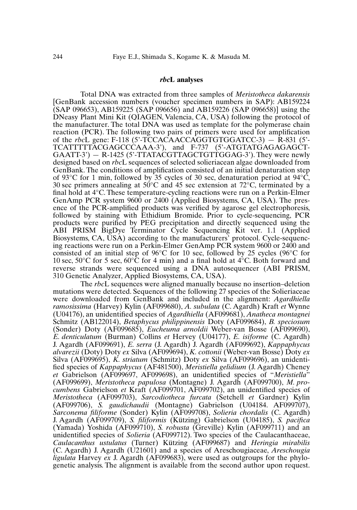#### *rbc***L analyses**

Total DNA was extracted from three samples of *Meristotheca dakarensis* [GenBank accession numbers (voucher specimen numbers in SAP): AB159224 (SAP 096653), AB159225 (SAP 096656) and AB159226 (SAP 096658)] using the DNeasy Plant Mini Kit (QIAGEN, Valencia, CA, USA) following the protocol of the manufacturer. The total DNA was used as template for the polymerase chain reaction (PCR). The following two pairs of primers were used for amplification of the *rbc*L gene: F-118 (5'-TCCACAACCAGGTGTGGATCC-3) — R-831 (5'- TCATTTTTACGAGCCCAAA-3'), and F-737 (5'-ATGTATGAGAGAGCT-GAATT-3') — R-1425 (5'-TTATACGTTAGCTGTTGGAG-3'). They were newly designed based on *rbc*L sequences of selected solieriacean algae downloaded from GenBank. The conditions of amplification consisted of an initial denaturation step of 93 $^{\circ}$ C for 1 min, followed by 35 cycles of 30 sec, denaturation period at 94 $^{\circ}$ C, 30 sec primers annealing at  $50^{\circ}$ C and 45 sec extension at  $72^{\circ}$ C, terminated by a final hold at 4°C. These temperature-cycling reactions were run on a Perkin-Elmer GenAmp PCR system 9600 or 2400 (Applied Biosystems, CA, USA). The presence of the PCR-amplified products was verified by agarose gel electrophoresis, followed by staining with Ethidium Bromide. Prior to cycle-sequencing, PCR products were purified by PEG precipitation and directly sequenced using the ABI PRISM BigDye Terminator Cycle Sequencing Kit ver. 1.1 (Applied Biosystems, CA, USA) according to the manufacturers' protocol. Cycle-sequencing reactions were run on a Perkin-Elmer GenAmp PCR system 9600 or 2400 and consisted of an initial step of 96°C for 10 sec, followed by 25 cycles (96°C for 10 sec, 50°C for 5 sec, 60°C for 4 min) and a final hold at 4°C. Both forward and reverse strands were sequenced using a DNA autosequencer (ABI PRISM, 310 Genetic Analyzer, Applied Biosystems, CA, USA).

The *rbc*L sequences were aligned manually because no insertion–deletion mutations were detected. Sequences of the following 27 species of the Solieriaceae were downloaded from GenBank and included in the alignment: *Agardhiella ramosissima* (Harvey) Kylin (AF099680), *A. subulata* (C. Agardh) Kraft *et* Wynne (U04176), an unidentified species of *Agardhiella* (AF099681), *Anatheca montagnei* Schmitz (AB122014), *Betaphycus philippinensis* Doty (AF099684), *B. speciosum* (Sonder) Doty (AF099685), *Eucheuma arnoldii* Weber-van Bosse (AF099690), *E. denticulatum* (Burman) Collins *et* Hervey (U04177), *E. isiforme* (C. Agardh) J. Agardh (AF099691), *E. serra* (J. Agardh) J. Agardh (AF099692), *Kappaphycus alvarezii* (Doty) Doty *ex* Silva (AF099694), *K. cottonii* (Weber-van Bosse) Doty *ex* Silva (AF099695), *K. striatum* (Schmitz) Doty *ex* Silva (AF099696), an unidentified species of *Kappaphycus* (AF481500), *Meristiella gelidium* (J. Agardh) Cheney *et* Gabrielson (AF099697, AF099698), an unidentified species of "*Meristiella*" (AF099699), *Meristotheca papulosa* (Montagne) J. Agardh (AF099700), *M. procumbens* Gabrielson *et* Kraft (AF099701, AF099702), an unidentified species of *Meristotheca* (AF099703), *Sarcodiotheca furcata* (Setchell *et* Gardner) Kylin (AF099706), *S. gaudichaudii* (Montagne) Gabrielson (U04184. AF099707), *Sarconema filiforme* (Sonder) Kylin (AF099708), *Solieria chordalis* (C. Agardh) J. Agardh (AF099709), *S. filiformis* (Kützing) Gabrielson (U04185), *S. pacifica* (Yamada) Yoshida (AF099710), *S. robusta* (Greville) Kylin (AF099711) and an unidentified species of *Solieria* (AF099712). Two species of the Caulacanthaceae, *Caulacanthus ustulatus* (Turner) Kützing (AF099687) and *Heringia mirabilis* (C. Agardh) J. Agardh (U21601) and a species of Areschougiaceae, *Areschougia ligulata* Harvey *ex* J. Agardh (AF099683), were used as outgroups for the phylogenetic analysis. The alignment is available from the second author upon request.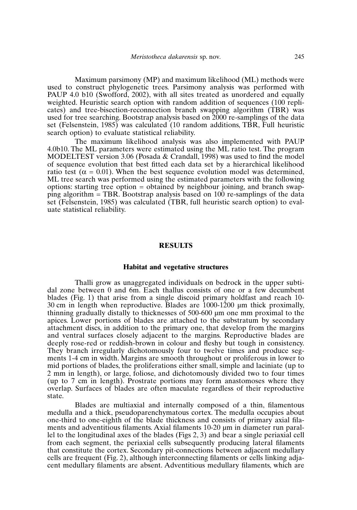Maximum parsimony (MP) and maximum likelihood (ML) methods were used to construct phylogenetic trees. Parsimony analysis was performed with PAUP 4.0 b10 (Swofford, 2002), with all sites treated as unordered and equally weighted. Heuristic search option with random addition of sequences (100 replicates) and tree-bisection-reconnection branch swapping algorithm (TBR) was used for tree searching. Bootstrap analysis based on 2000 re-samplings of the data set (Felsenstein, 1985) was calculated (10 random additions, TBR, Full heuristic search option) to evaluate statistical reliability.

The maximum likelihood analysis was also implemented with PAUP 4.0b10. The ML parameters were estimated using the ML ratio test. The program MODELTEST version 3.06 (Posada & Crandall, 1998) was used to find the model of sequence evolution that best fitted each data set by a hierarchical likelihood ratio test ( $\alpha = 0.01$ ). When the best sequence evolution model was determined, ML tree search was performed using the estimated parameters with the following options: starting tree option = obtained by neighbour joining, and branch swapping algorithm = TBR. Bootstrap analysis based on 100 re-samplings of the data set (Felsenstein, 1985) was calculated (TBR, full heuristic search option) to evaluate statistical reliability.

#### **RESULTS**

### **Habitat and vegetative structures**

Thalli grow as unaggregated individuals on bedrock in the upper subtidal zone between 0 and 6m. Each thallus consists of one or a few decumbent blades (Fig. 1) that arise from a single discoid primary holdfast and reach 10- 30 cm in length when reproductive. Blades are 1000-1200 µm thick proximally, thinning gradually distally to thicknesses of 500-600 µm one mm proximal to the apices. Lower portions of blades are attached to the substratum by secondary attachment discs, in addition to the primary one, that develop from the margins and ventral surfaces closely adjacent to the margins. Reproductive blades are deeply rose-red or reddish-brown in colour and fleshy but tough in consistency. They branch irregularly dichotomously four to twelve times and produce segments 1-4 cm in width. Margins are smooth throughout or proliferous in lower to mid portions of blades, the proliferations either small, simple and laciniate (up to 2 mm in length), or large, foliose, and dichotomously divided two to four times (up to 7 cm in length). Prostrate portions may form anastomoses where they overlap. Surfaces of blades are often maculate regardless of their reproductive state.

Blades are multiaxial and internally composed of a thin, filamentous medulla and a thick, pseudoparenchymatous cortex. The medulla occupies about one-third to one-eighth of the blade thickness and consists of primary axial filaments and adventitious filaments. Axial filaments 10-20  $\mu$ m in diameter run parallel to the longitudinal axes of the blades (Figs 2, 3) and bear a single periaxial cell from each segment, the periaxial cells subsequently producing lateral filaments that constitute the cortex. Secondary pit-connections between adjacent medullary cells are frequent (Fig. 2), although interconnecting filaments or cells linking adjacent medullary filaments are absent. Adventitious medullary filaments, which are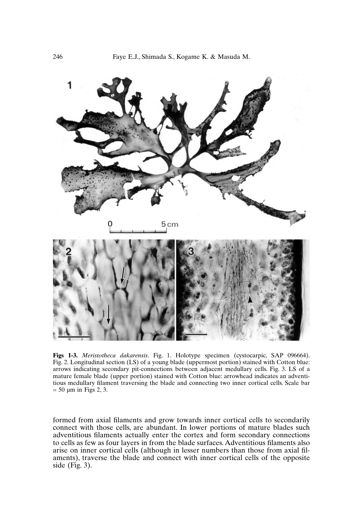

**Figs 1-3.** *Meristotheca dakarensis*. Fig. 1. Holotype specimen (cystocarpic, SAP 096664). Fig. 2. Longitudinal section (LS) of a young blade (uppermost portion) stained with Cotton blue: arrows indicating secondary pit-connections between adjacent medullary cells. Fig. 3. LS of a mature female blade (upper portion) stained with Cotton blue: arrowhead indicates an adventitious medullary filament traversing the blade and connecting two inner cortical cells. Scale bar  $= 50 \mu m$  in Figs 2, 3.

formed from axial filaments and grow towards inner cortical cells to secondarily connect with those cells, are abundant. In lower portions of mature blades such adventitious filaments actually enter the cortex and form secondary connections to cells as few as four layers in from the blade surfaces. Adventitious filaments also arise on inner cortical cells (although in lesser numbers than those from axial filaments), traverse the blade and connect with inner cortical cells of the opposite side (Fig. 3).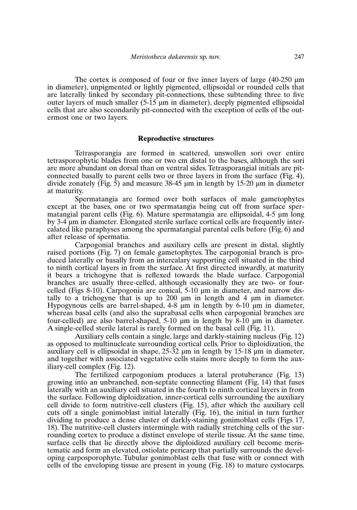The cortex is composed of four or five inner layers of large (40-250  $\mu$ m in diameter), unpigmented or lightly pigmented, ellipsoidal or rounded cells that are laterally linked by secondary pit-connections, these subtending three to five outer layers of much smaller  $(5-15 \mu m)$  in diameter), deeply pigmented ellipsoidal cells that are also secondarily pit-connected with the exception of cells of the outermost one or two layers.

## **Reproductive structures**

Tetrasporangia are formed in scattered, unswollen sori over entire tetrasporophytic blades from one or two cm distal to the bases, although the sori are more abundant on dorsal than on ventral sides. Tetrasporangial initials are pitconnected basally to parent cells two or three layers in from the surface (Fig. 4), divide zonately (Fig. 5) and measure 38-45 µm in length by 15-20 µm in diameter at maturity.

Spermatangia are formed over both surfaces of male gametophytes except at the bases, one or two spermatangia being cut off from surface spermatangial parent cells (Fig. 6). Mature spermatangia are ellipsoidal, 4-5 µm long by 3-4 µm in diameter. Elongated sterile surface cortical cells are frequently intercalated like paraphyses among the spermatangial parental cells before (Fig. 6) and after release of spermatia.

Carpogonial branches and auxiliary cells are present in distal, slightly raised portions (Fig. 7) on female gametophytes. The carpogonial branch is produced laterally or basally from an intercalary supporting cell situated in the third to ninth cortical layers in from the surface. At first directed inwardly, at maturity it bears a trichogyne that is reflexed towards the blade surface. Carpogonial branches are usually three-celled, although occasionally they are two- or fourcelled (Figs 8-10). Carpogonia are conical, 5-10 µm in diameter, and narrow distally to a trichogyne that is up to 200  $\mu$ m in length and 4  $\mu$ m in diameter. Hypogynous cells are barrel-shaped, 4-8 µm in length by 6-10 µm in diameter, whereas basal cells (and also the suprabasal cells when carpogonial branches are four-celled) are also barrel-shaped, 5-10 µm in length by 8-10 µm in diameter. A single-celled sterile lateral is rarely formed on the basal cell (Fig. 11).

Auxiliary cells contain a single, large and darkly-staining nucleus (Fig. 12) as opposed to multinucleate surrounding cortical cells. Prior to diploidization, the auxiliary cell is ellipsoidal in shape, 25-32 µm in length by 15-18 µm in diameter, and together with associated vegetative cells stains more deeply to form the auxiliary-cell complex (Fig. 12).

The fertilized carpogonium produces a lateral protuberance (Fig. 13) growing into an unbranched, non-septate connecting filament (Fig. 14) that fuses laterally with an auxiliary cell situated in the fourth to ninth cortical layers in from the surface. Following diploidization, inner-cortical cells surrounding the auxiliary cell divide to form nutritive-cell clusters (Fig. 15), after which the auxiliary cell cuts off a single gonimoblast initial laterally (Fig. 16), the initial in turn further dividing to produce a dense cluster of darkly-staining gonimoblast cells (Figs 17, 18). The nutritive-cell clusters intermingle with radially stretching cells of the surrounding cortex to produce a distinct envelope of sterile tissue. At the same time, surface cells that lie directly above the diploidized auxiliary cell become meristematic and form an elevated, ostiolate pericarp that partially surrounds the developing carposporophyte. Tubular gonimoblast cells that fuse with or connect with cells of the enveloping tissue are present in young (Fig. 18) to mature cystocarps.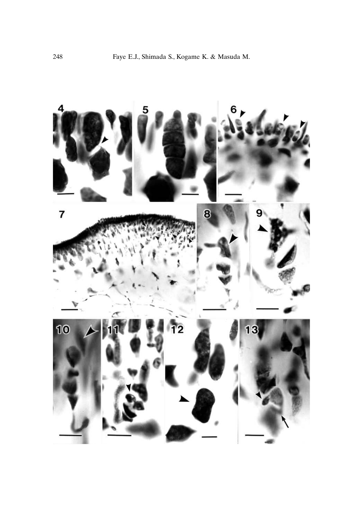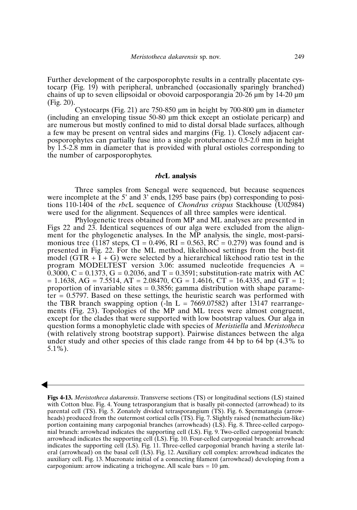Further development of the carposporophyte results in a centrally placentate cystocarp (Fig. 19) with peripheral, unbranched (occasionally sparingly branched) chains of up to seven ellipsoidal or obovoid carposporangia 20-26 µm by 14-20 µm (Fig. 20).

Cystocarps (Fig. 21) are 750-850 µm in height by 700-800 µm in diameter (including an enveloping tissue 50-80 µm thick except an ostiolate pericarp) and are numerous but mostly confined to mid to distal dorsal blade surfaces, although a few may be present on ventral sides and margins (Fig. 1). Closely adjacent carposporophytes can partially fuse into a single protuberance 0.5-2.0 mm in height by 1.5-2.8 mm in diameter that is provided with plural ostioles corresponding to the number of carposporophytes.

### *rbc***L analysis**

Three samples from Senegal were sequenced, but because sequences were incomplete at the 5' and 3' ends, 1295 base pairs (bp) corresponding to positions 110-1404 of the *rbc*L sequence of *Chondrus crispus* Stackhouse (U02984) were used for the alignment. Sequences of all three samples were identical.

Phylogenetic trees obtained from MP and ML analyses are presented in Figs 22 and 23. Identical sequences of our alga were excluded from the alignment for the phylogenetic analyses. In the MP analysis, the single, most-parsimonious tree (1187 steps, CI = 0.496, RI = 0.563, RC = 0.279) was found and is presented in Fig. 22. For the ML method, likelihood settings from the best-fit model (GTR  $+$  I + G) were selected by a hierarchical likehood ratio test in the program MODELTEST version 3.06: assumed nucleotide frequencies  $A =$ 0.3000,  $C = 0.1373$ ,  $G = 0.2036$ , and  $T = 0.3591$ ; substitution-rate matrix with AC  $= 1.1638$ , AG = 7.5514, AT = 2.08470, CG = 1.4616, CT = 16.4335, and GT = 1; proportion of invariable sites  $= 0.3856$ ; gamma distribution with shape parameter  $= 0.5797$ . Based on these settings, the heuristic search was performed with the TBR branch swapping option (-ln L = 7669.07582) after 13147 rearrangements (Fig. 23). Topologies of the MP and ML trees were almost congruent, except for the clades that were supported with low bootstrap values. Our alga in question forms a monophyletic clade with species of *Meristiella* and *Meristotheca* (with relatively strong bootstrap support). Pairwise distances between the alga under study and other species of this clade range from 44 bp to 64 bp (4.3% to 5.1%).

▲

**Figs 4-13.** *Meristotheca dakarensis*. Transverse sections (TS) or longitudinal sections (LS) stained with Cotton blue. Fig. 4. Young tetrasporangium that is basally pit-connected (arrowhead) to its parental cell (TS). Fig. 5. Zonately divided tetrasporangium (TS). Fig. 6. Spermatangia (arrowheads) produced from the outermost cortical cells (TS). Fig. 7. Slightly raised (nemathecium-like) portion containing many carpogonial branches (arrowheads) (LS). Fig. 8. Three-celled carpogonial branch: arrowhead indicates the supporting cell (LS). Fig. 9. Two-celled carpogonial branch: arrowhead indicates the supporting cell (LS). Fig. 10. Four-celled carpogonial branch: arrowhead indicates the supporting cell (LS). Fig. 11. Three-celled carpogonial branch having a sterile lateral (arrowhead) on the basal cell (LS). Fig. 12. Auxiliary cell complex: arrowhead indicates the auxiliary cell. Fig. 13. Mucronate initial of a connecting filament (arrowhead) developing from a carpogonium: arrow indicating a trichogyne. All scale bars  $= 10 \mu m$ .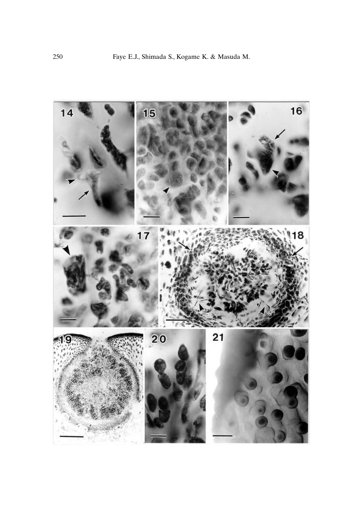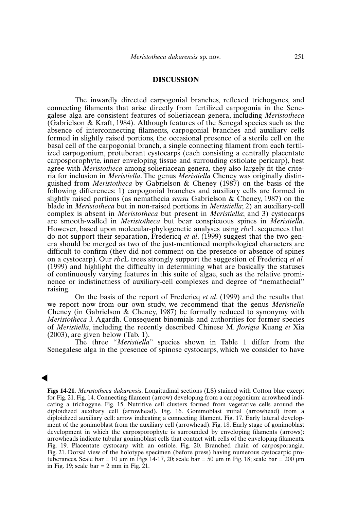### **DISCUSSION**

The inwardly directed carpogonial branches, reflexed trichogynes, and connecting filaments that arise directly from fertilized carpogonia in the Senegalese alga are consistent features of solieriacean genera, including *Meristotheca* (Gabrielson & Kraft, 1984). Although features of the Senegal species such as the absence of interconnecting filaments, carpogonial branches and auxiliary cells formed in slightly raised portions, the occasional presence of a sterile cell on the basal cell of the carpogonial branch, a single connecting filament from each fertilized carpogonium, protuberant cystocarps (each consisting a centrally placentate carposporophyte, inner enveloping tissue and surrouding ostiolate pericarp), best agree with *Meristotheca* among solieriacean genera*,* they also largely fit the criteria for inclusion in *Meristiella*. The genus *Meristiella* Cheney was originally distinguished from *Meristotheca* by Gabrielson & Cheney (1987) on the basis of the following differences: 1) carpogonial branches and auxiliary cells are formed in slightly raised portions (as nemathecia *sensu* Gabrielson & Cheney, 1987) on the blade in *Meristotheca* but in non-raised portions in *Meristiella*; 2) an auxiliary-cell complex is absent in *Meristotheca* but present in *Meristiella*; and 3) cystocarps are smooth-walled in *Meristotheca* but bear conspicuous spines in *Meristiella*. However, based upon molecular-phylogenetic analyses using *rbc*L sequences that do not support their separation, Fredericq *et al*. (1999) suggest that the two genera should be merged as two of the just-mentioned morphological characters are difficult to confirm (they did not comment on the presence or absence of spines on a cystocarp). Our *rbc*L trees strongly support the suggestion of Fredericq *et al.* (1999) and highlight the difficulty in determining what are basically the statuses of continuously varying features in this suite of algae, such as the relative prominence or indistinctness of auxiliary-cell complexes and degree of "nemathecial" raising.

On the basis of the report of Fredericq *et al*. (1999) and the results that we report now from our own study, we recommend that the genus *Meristiella* Cheney (in Gabrielson & Cheney, 1987) be formally reduced to synonymy with *Meristotheca* J. Agardh. Consequent binomials and authorities for former species of *Meristiella*, including the recently described Chinese M. *florigia* Kuang *et* Xia (2003), are given below (Tab. 1).

The three "*Meristiella*" species shown in Table 1 differ from the Senegalese alga in the presence of spinose cystocarps, which we consider to have

▲

**Figs 14-21.** *Meristotheca dakarensis*. Longitudinal sections (LS) stained with Cotton blue except for Fig. 21. Fig. 14. Connecting filament (arrow) developing from a carpogonium: arrowhead indicating a trichogyne. Fig. 15. Nutritive cell clusters formed from vegetative cells around the diploidized auxiliary cell (arrowhead). Fig. 16. Gonimoblast initial (arrowhead) from a diploidized auxiliary cell: arrow indicating a connecting filament. Fig. 17. Early lateral development of the gonimoblast from the auxiliary cell (arrowhead). Fig. 18. Early stage of gonimoblast development in which the carposporophyte is surrounded by enveloping filaments (arrows): arrowheads indicate tubular gonimoblast cells that contact with cells of the enveloping filaments. Fig. 19. Placentate cystocarp with an ostiole. Fig. 20. Branched chain of carposporangia. Fig. 21. Dorsal view of the holotype specimen (before press) having numerous cystocarpic protuberances. Scale bar = 10 µm in Figs 14-17, 20; scale bar = 50 µm in Fig. 18; scale bar =  $200 \text{ µm}$ in Fig. 19; scale bar = 2 mm in Fig.  $21$ .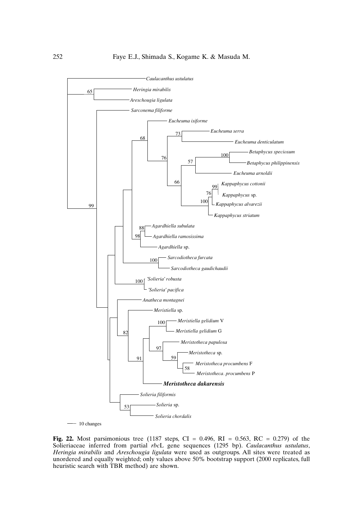

**Fig. 22.** Most parsimonious tree (1187 steps, CI = 0.496, RI = 0.563, RC = 0.279) of the Solieriaceae inferred from partial *rbc*L gene sequences (1295 bp). *Caulacanthus ustulatus*, *Heringia mirabilis* and *Areschougia ligulata* were used as outgroups. All sites were treated as unordered and equally weighted; only values above 50% bootstrap support (2000 replicates, full heuristic search with TBR method) are shown.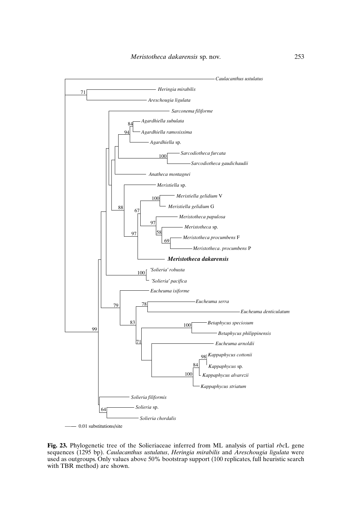

**Fig. 23.** Phylogenetic tree of the Solieriaceae inferred from ML analysis of partial *rbc*L gene sequences (1295 bp). *Caulacanthus ustulatus*, *Heringia mirabilis* and *Areschougia ligulata* were used as outgroups. Only values above 50% bootstrap support (100 replicates, full heuristic search with TBR method) are shown.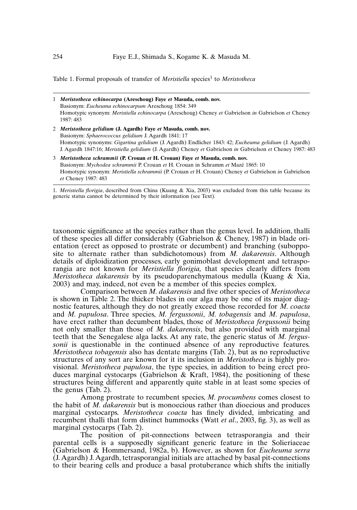Table 1. Formal proposals of transfer of *Meristiella* species<sup>1</sup> to *Meristotheca* 

- 1 *Meristotheca echinocarpa* **(Areschoug) Faye** *et* **Masuda, comb. nov.** Basionym: *Eucheuma echinocarpum* Areschoug 1854: 349 Homotypic synonym: *Meristiella echinocarpa* (Areschoug) Cheney *et* Gabrielson *in* Gabrielson *et* Cheney 1987: 483
- 2 *Meristotheca gelidium* **(J. Agardh) Faye** *et* **Masuda, comb. nov.** Basionym: *Sphaerococcus gelidium* J. Agardh 1841: 17 Homotypic synonyms: *Gigartina gelidium* (J. Agardh) Endlicher 1843: 42; *Eucheuma gelidium* (J. Agardh) J. Agardh 1847:16; *Meristiella gelidium* (J. Agardh) Cheney *et* Gabrielson *in* Gabrielson *et* Cheney 1987: 483
- 3 *Meristotheca schrammii* **(P. Crouan** *et* **H. Crouan) Faye** *et* **Masuda, comb. nov.** Basionym: *Mychodea schrammii* P. Crouan *et* H. Crouan in Schramm *et* Mazé 1865: 10 Homotypic synonym: *Meristiella schrammii* (P. Crouan *et* H. Crouan) Cheney *et* Gabrielson *in* Gabrielson *et* Cheney 1987: 483

1. *Meristiella florigia*, described from China (Kuang & Xia, 2003) was excluded from this table because its generic status cannot be determined by their information (see Text).

taxonomic significance at the species rather than the genus level. In addition, thalli of these species all differ considerably (Gabrielson  $\&$  Cheney, 1987) in blade orientation (erect as opposed to prostrate or decumbent) and branching (subopposite to alternate rather than subdichotomous) from *M. dakarensis*. Although details of diploidization processes, early gonimoblast development and tetrasporangia are not known for *Meristiella florigia,* that species clearly differs from *Meristotheca dakarensis* by its pseudoparenchymatous medulla (Kuang & Xia, 2003) and may, indeed, not even be a member of this species complex.

Comparison between *M. dakarensis* and five other species of *Meristotheca* is shown in Table 2. The thicker blades in our alga may be one of its major diagnostic features, although they do not greatly exceed those recorded for *M. coacta* and *M. papulosa*. Three species, *M. fergussonii*, *M. tobagensis* and *M. papulosa*, have erect rather than decumbent blades, those of *Meristotheca fergussonii* being not only smaller than those of *M. dakarensis*, but also provided with marginal teeth that the Senegalese alga lacks. At any rate, the generic status of *M. fergussonii* is questionable in the continued absence of any reproductive features. *Meristotheca tobagensis* also has dentate margins (Tab. 2), but as no reproductive structures of any sort are known for it its inclusion in *Meristotheca* is highly provisional. *Meristotheca papulosa*, the type species, in addition to being erect produces marginal cystocarps (Gabrielson & Kraft, 1984), the positioning of these structures being different and apparently quite stable in at least some species of the genus (Tab. 2).

Among prostrate to recumbent species, *M. procumbens* comes closest to the habit of *M. dakarensis* but is monoecious rather than dioecious and produces marginal cystocarps. *Meristotheca coacta* has finely divided, imbricating and recumbent thalli that form distinct hummocks (Watt *et al*., 2003, fig. 3), as well as marginal cystocarps (Tab. 2).

The position of pit-connections between tetrasporangia and their parental cells is a supposedly significant generic feature in the Solieriaceae (Gabrielson & Hommersand, 1982a, b). However, as shown for *Eucheuma serra* (J. Agardh) J. Agardh, tetrasporangial initials are attached by basal pit-connections to their bearing cells and produce a basal protuberance which shifts the initially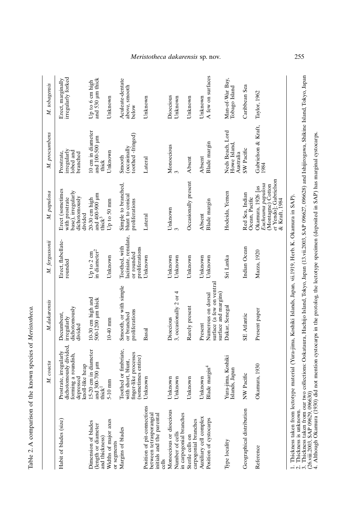|                                                                                                                                                                                                                                                                                                                                                                                     | M. coacta                                                                                             | M.dakarensis                                                                                                    | M. fergussonii                                                        | M. papulosa                                                                                           | M. procumbens                                      | M. tobagensis                              |
|-------------------------------------------------------------------------------------------------------------------------------------------------------------------------------------------------------------------------------------------------------------------------------------------------------------------------------------------------------------------------------------|-------------------------------------------------------------------------------------------------------|-----------------------------------------------------------------------------------------------------------------|-----------------------------------------------------------------------|-------------------------------------------------------------------------------------------------------|----------------------------------------------------|--------------------------------------------|
| Habit of blades (size)                                                                                                                                                                                                                                                                                                                                                              | dichotomously divided,<br>ostrate, irregularly<br>forming a roundish,<br>knoll-like heap<br>depressed | dichotomously<br>Decumbent,<br>irregularly<br>divided                                                           | Erect, flabellate-<br>rounded                                         | Erect (sometimes<br>base), irregularly<br>dichotomously<br>with prostrate<br>divided                  | irregularly<br>lobed and<br>Prostrate,<br>branched | irregularly forked<br>Erect, marginally    |
| Dimension of blades<br>(length or diameter<br>and thickness)                                                                                                                                                                                                                                                                                                                        | 15-20 cm in diameter<br>and 300-700 µm<br>thick $1$                                                   | $10-30$ cm high and<br>500-1200 $\mu$ m thick                                                                   | in diameter <sup>2</sup><br>Up to 2 cm                                | and 400-900 µm<br>$20-30$ cm high<br>thick <sup>3</sup>                                               | 10 cm in diameter<br>and 100-500 µm<br>thick       | and 530 µm thick<br>Up to 6 cm high        |
| Widths of major axes<br>or segments                                                                                                                                                                                                                                                                                                                                                 | $5-10$ mm                                                                                             | $10-40$ mm                                                                                                      | Unknown                                                               | Up to 50 mm                                                                                           | Unknown                                            | Unknown                                    |
| Margins of blades                                                                                                                                                                                                                                                                                                                                                                   | Toothed or fimbriate,<br>finger-like processes<br>(sometimes entire)<br>with short, blunt,            | Smooth, or with simple<br>proliferations<br>or branched                                                         | laciniate, renulate,<br>Toothed, with<br>proliferations<br>or rounded | Simple to branched,<br>blunt to conical<br>proliferations                                             | toothed -fringed)<br>(occasinally<br>Smooth        | Aculeate-dentate<br>above, smooth<br>below |
| Position of pit-connections<br>between tetrasporangial<br>initials and the parental<br>cells                                                                                                                                                                                                                                                                                        | Unknown                                                                                               | <b>Basal</b>                                                                                                    | Unknown                                                               | Lateral                                                                                               | Lateral                                            | Unknown                                    |
| Monoecious or dioecious<br>in carpogonial branches<br>Number of cells                                                                                                                                                                                                                                                                                                               | Unknown<br>Unknown                                                                                    | 3, occasionally 2 or 4<br>Dioecious                                                                             | Unknown<br>Unknown                                                    | Unknown<br>ω                                                                                          | Monoecious<br>3                                    | Dioecious<br>Unknown                       |
| carpogonial branches<br>Sterile cells on                                                                                                                                                                                                                                                                                                                                            | Unknown                                                                                               | Rarely present                                                                                                  | Unknown                                                               | Occasionally present                                                                                  | Absent                                             | Unknown                                    |
| Auxiliary cell complex                                                                                                                                                                                                                                                                                                                                                              | Unknown                                                                                               | Present                                                                                                         | Unknown                                                               | Absent                                                                                                | Absent                                             | Unknown                                    |
| Position of cystocarps                                                                                                                                                                                                                                                                                                                                                              | Blade margin <sup>4</sup>                                                                             | surface (a few on ventral<br>Numerous on dorsal<br>surface and margins)                                         | Unknown                                                               | Blade margin                                                                                          | Blade margin                                       | A few on surfaces                          |
| Type locality                                                                                                                                                                                                                                                                                                                                                                       | Yura-jima, Koshiki<br>Islands, Japan                                                                  | Dakar, Senegal                                                                                                  | Sri Lanka                                                             | Hodeida, Yemen                                                                                        | Neds Beach, Lord<br>Howe Island,<br>Australia      | Man-of-War Bay,<br>Tobago Island           |
| Geographical distribution                                                                                                                                                                                                                                                                                                                                                           | W Pacific<br>Z                                                                                        | SE Atlantic                                                                                                     | Indian Ocean                                                          | Red Sea, Indian<br>Ocean, Pacific                                                                     | SW Pacific                                         | Caribbean Sea                              |
| Reference                                                                                                                                                                                                                                                                                                                                                                           | Okamura, 1930                                                                                         | Present paper                                                                                                   | Mazza, 1920                                                           | et Yendo]; Gabrielson<br>Eucheuma papulosa<br>(Montagne) Cotton<br>Okamura, 1926 [as<br>& Kraft, 1984 | Gabrielson & Kraft,<br>1984                        | Taylor, 1962                               |
| 3. Thickness taken from our two collections: Ookataura, Hachijo Island, Tokyo, Japan (13.vii.2003, SAP 096627, 096628) and Ishijirogawa, Shikine Island, Tokyo, Japan<br>4. Although Okamura (1930) did not mention cystocarps in the protolog, the lectotype specimen (deposited in SAP) has marginal cystocarps.<br>(26.viii.2003, SAP 09629, 096630)<br>2. Thickness is unknown. |                                                                                                       | Thickness taken from lectotype material (Yura-jima, Koshiki Islands, Japan, vii.1919, Herb. K. Okamura in SAP). |                                                                       |                                                                                                       |                                                    |                                            |

Table 2. A comparison of the known species of Meristotheca. Table 2. A comparison of the known species of *Meristotheca.* *Meristotheca dakarensis* sp. nov*.* 255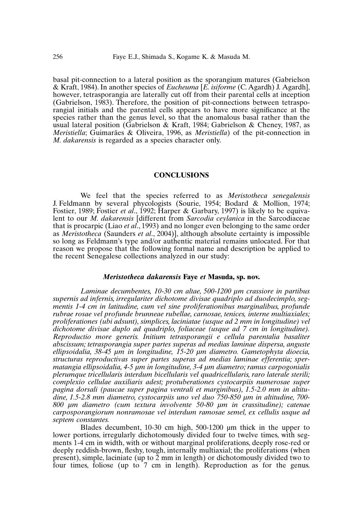basal pit-connection to a lateral position as the sporangium matures (Gabrielson & Kraft, 1984). In another species of *Eucheuma* [*E. isiforme* (C. Agardh) J. Agardh], however, tetrasporangia are laterally cut off from their parental cells at inception (Gabrielson, 1983). Therefore, the position of pit-connections between tetrasporangial initials and the parental cells appears to have more significance at the species rather than the genus level, so that the anomalous basal rather than the usual lateral position (Gabrielson & Kraft, 1984; Gabrielson & Cheney, 1987, as *Meristiella*; Guimarães & Oliveira, 1996, as *Meristiella*) of the pit-connection in *M. dakarensis* is regarded as a species character only.

# **CONCLUSIONS**

We feel that the species referred to as *Meristotheca senegalensis* J. Feldmann by several phycologists (Sourie, 1954; Bodard & Mollion, 1974; Fostier, 1989; Fostier *et al*., 1992; Harper & Garbary, 1997) is likely to be equivalent to our *M. dakarensis* [different from *Sarcodia ceylanica* in the Sarcodiaceae that is procarpic (Liao *et al*., 1993) and no longer even belonging to the same order as *Meristotheca* (Saunders *et al*., 2004)], although absolute certainty is impossible so long as Feldmann's type and/or authentic material remains unlocated. For that reason we propose that the following formal name and description be applied to the recent Senegalese collections analyzed in our study:

# *Meristotheca dakarensis* **Faye** *et* **Masuda, sp. nov.**

*Laminae decumbentes, 10-30 cm altae, 500-1200 µm crassiore in partibus supernis ad infernis, irregulariter dichotome divisae quadriplo ad duodecimplo, segmentis 1-4 cm in latitudine, cum vel sine proliferationibus marginalibus, profunde rubrae rosae vel profunde brunneae rubellae, carnosae, tenices, interne multiaxiales; proliferationes (ubi adsunt), simplices, laciniatae (usque ad 2 mm in longitudine) vel dichotome divisae duplo ad quadriplo, foliaceae (usque ad 7 cm in longitudine). Reproductio more generis. Initium tetrasporangii e cellula parentalia basaliter abscissum; tetrasporangia super partes superas ad medias laminae dispersa, anguste ellipsoidalia, 38-45 µm in longitudine, 15-20 µm diametro. Gametophyta dioecia, structuras reproductivas super partes superas ad medias laminae efferentia; spermatangia ellipsoidalia, 4-5 µm in longitudine, 3-4 µm diametro; ramus carpogonialis plerumque tricellularis interdum bicellularis vel quadricellularis, raro laterale sterili; complexio cellulae auxiliaris adest; protuberationes cystocarpiis numerosae super pagina dorsali (paucae super pagina ventrali et marginibus), 1.5-2.0 mm in altitudine, 1.5-2.8 mm diametro, cystocarpiis uno vel duo 750-850 µm in altitudine, 700- 800 µm diametro (cum textura involvente 50-80 µm in crassitudine); catenae carposporangiorum nonramosae vel interdum ramosae semel, ex cellulis usque ad septem constantes.*

Blades decumbent, 10-30 cm high, 500-1200 µm thick in the upper to lower portions, irregularly dichotomously divided four to twelve times, with segments 1-4 cm in width, with or without marginal proliferations, deeply rose-red or deeply reddish-brown, fleshy, tough, internally multiaxial; the proliferations (when present), simple, laciniate (up to 2 mm in length) or dichotomously divided two to four times, foliose (up to 7 cm in length). Reproduction as for the genus.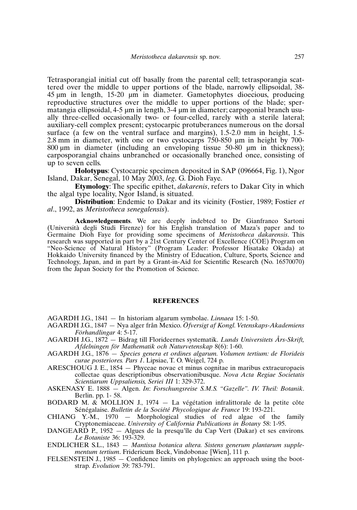Tetrasporangial initial cut off basally from the parental cell; tetrasporangia scattered over the middle to upper portions of the blade, narrowly ellipsoidal, 38- 45 µm in length, 15-20 µm in diameter. Gametophytes dioecious, producing reproductive structures over the middle to upper portions of the blade; spermatangia ellipsoidal, 4-5 µm in length, 3-4 µm in diameter; carpogonial branch usually three-celled occasionally two- or four-celled, rarely with a sterile lateral; auxiliary-cell complex present; cystocarpic protuberances numerous on the dorsal surface (a few on the ventral surface and margins), 1.5-2.0 mm in height, 1.5- 2.8 mm in diameter, with one or two cystocarps 750-850 µm in height by 700-  $800 \mu m$  in diameter (including an enveloping tissue  $50-80 \mu m$  in thickness); carposporangial chains unbranched or occasionally branched once, consisting of up to seven cells.

**Holotypus**: Cystocarpic specimen deposited in SAP (096664, Fig. 1), Ngor Island, Dakar, Senegal, 10 May 2003, *leg*. G. Dioh Faye.

**Etymology**: The specific epithet, *dakarenis*, refers to Dakar City in which the algal type locality, Ngor Island, is situated.

**Distribution**: Endemic to Dakar and its vicinity (Fostier, 1989; Fostier *et al*., 1992, as *Meristotheca senegalensis*).

**Acknowledgements**. We are deeply indebted to Dr Gianfranco Sartoni (Università degli Studi Firenze) for his English translation of Maza's paper and to Germaine Dioh Faye for providing some specimens of *Meristotheca dakarensis*. This research was supported in part by a 21st Century Center of Excellence (COE) Program on "Neo-Science of Natural History" (Program Leader: Professor Hisatake Okada) at Hokkaido University financed by the Ministry of Education, Culture, Sports, Science and Technology, Japan, and in part by a Grant-in-Aid for Scientific Research (No. 16570070) from the Japan Society for the Promotion of Science.

#### **REFERENCES**

AGARDH J.G., 1841 — In historiam algarum symbolae. *Linnaea* 15: 1-50.

- AGARDH J.G., 1847 Nya alger från Mexico. *Öfversigt af Kongl. Vetenskaps-Akademiens Förhandlingar* 4: 5-17.
- AGARDH J.G., 1872 Bidrag till Florideernes systematik. *Lunds Universitets Års-Skrift, Afdelningen för Mathematik och Naturvetenskap* 8(6): 1-60.
- AGARDH J.G., 1876 *Species genera et ordines algarum. Volumen tertium: de Florideis curae posteriores. Pars 1*. Lipsiae, T. O. Weigel, 724 p.
- ARESCHOUG J. E., 1854 Phyceae novae et minus cognitae in maribus extraeuropaeis collectae quas descriptionibus observationibusque. *Nova Acta Regiae Societatis Scientiarum Uppsaliensis, Seriei III* 1: 329-372.
- ASKENASY E. 1888 Algen. *In*: *Forschungsreise S.M.S. "Gazelle". IV. Theil: Botanik*. Berlin. pp. 1- 58.
- BODARD M. & MOLLION J., 1974 La végétation infralittorale de la petite côte Sénégalaise. *Bulletin de la Société Phycologique de France* 19: 193-221.
- CHIANG Y.-M., 1970 Morphological studies of red algae of the family Cryptonemiaceae. *University of California Publications in Botany* 58: 1-95.
- DANGEARD P., 1952 Algues de la presqu'île du Cap Vert (Dakar) et ses environs. *Le Botaniste* 36: 193-329.
- ENDLICHER S.L., 1843 *Mantissa botanica altera. Sistens generum plantarum supplementum tertium*. Fridericum Beck, Vindobonae [Wien], 111 p.
- FELSENSTEIN J., 1985 Confidence limits on phylogenies: an approach using the bootstrap. *Evolution* 39: 783-791.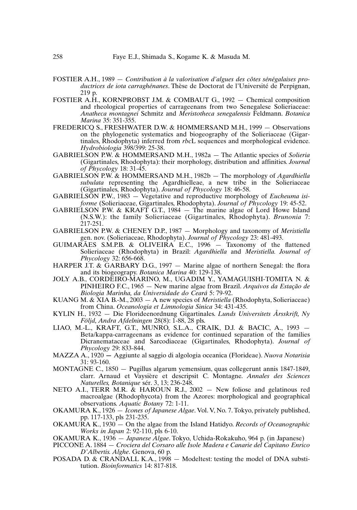- FOSTIER A.H., 1989 *Contribution à la valorisation d'algues des côtes sénégalaises productrices de iota carraghénanes*. Thèse de Doctorat de l'Université de Perpignan, 219 p.
- FOSTIER A.H., KORNPROBST J.M. & COMBAUT G., 1992 Chemical composition and rheological properties of carrageenans from two Senegalese Solieriaceae: *Anatheca montagnei* Schmitz and *Meristotheca senegalensis* Feldmann. *Botanica Marina* 35: 351-355.
- FREDERICQ S., FRESHWATER D.W. & HOMMERSAND M.H., 1999 Observations on the phylogenetic systematics and biogeography of the Solieriaceae (Gigartinales, Rhodophyta) inferred from *rbc*L sequences and morphological evidence. *Hydrobiologia* 398/399: 25-38.
- GABRIELSON P.W. & HOMMERSAND M.H., 1982a The Atlantic species of *Solieria* (Gigartinales, Rhodophyta): their morphology, distribution and affinities. *Journal of Phycology* 18: 31-45.
- GABRIELSON P.W. & HOMMERSAND M.H., 1982b The morphology of *Agardhiella subulata* representing the Agardhielleae, a new tribe in the Solieriaceae (Gigartinales, Rhodophyta). *Journal of Phycology* 18: 46-58.
- GABRIELSON P.W., 1983 Vegetative and reproductive morphology of *Eucheuma isiforme* (Solieriaceae, Gigartinales, Rhodophyta). *Journal of Phycology* 19: 45-52.
- GABRIELSON P.W. & KRAFT G.T., 1984 The marine algae of Lord Howe Island (N.S.W.): the family Solieriaceae (Gigartinales, Rhodophyta). *Brunonia* 7: 217-251.
- GABRIELSON P.W. & CHENEY D.P., 1987 Morphology and taxonomy of *Meristiella* gen. nov. (Solieriaceae, Rhodophyta). *Journal of Phycology* 23: 481-493.
- GUIMARÃES S.M.P.B. & OLIVEIRA E.C., 1996 Taxonomy of the flattened Solieriaceae (Rhodophyta) in Brazil: *Agardhiella* and *Meristiella. Journal of Phycology* 32: 656-668.
- HARPER J.T. & GARBARY D.G., 1997 Marine algae of northern Senegal: the flora and its biogeograpy. *Botanica Marina* 40: 129-138.
- JOLY A.B., CORDEIRO-MARINO, M., UGADIM Y., YAMAGUISHI-TOMITA N. & PINHEIRO F.C., 1965 — New marine algae from Brazil. *Arquivos da Estação de Biologia Marinha, da Universidade do Ceará* 5: 79-92.
- KUANG M. & XIA B.-M., 2003 A new species of *Meristiella* (Rhodophyta, Solieriaceae) from China. *Oceanologia et Limnologia Sinica* 34: 431-435.
- KYLIN H., 1932 Die Florideenordnung Gigartinales. *Lunds Universitets Årsskrift, Ny Följd, Andra Afdelningen* 28(8): 1-88, 28 pls.
- LIAO, M.-L., KRAFT, G.T., MUNRO, S.L.A., CRAIK, D.J. & BACIC, A., 1993 Beta/kappa-carrageenans as evidence for continued separation of the families Dicranemataceae and Sarcodiaceae (Gigartinales, Rhodophyta). *Journal of Phycology* 29: 833-844.
- MAZZA A., 1920 Aggiunte al saggio di algologia oceanica (Florideae). *Nuova Notarisia* 31: 93-160.
- MONTAGNE C., 1850 Pugillus algarum yemensium, quas collegerunt annis 1847-1849, clarr. Arnaud et Vaysière et descripsit C. Montagne. *Annales des Sciences Naturelles, Botanique* sér. 3, 13; 236-248.
- NETO A.I., TERR M.R. & HAROUN R.J., 2002 New foliose and gelatinous red macroalgae (Rhodophycota) from the Azores: morphological and geographical observations. *Aquatic Botany* 72: 1-11.
- OKAMURA K., 1926 *Icones of Japanese Algae*. Vol. V, No. 7. Tokyo, privately published, pp. 117-133, pls 231-235.
- OKAMURA K., 1930 On the algae from the Island Hatidyo. *Records of Oceanographic Works in Japan* 2: 92-110, pls 6-10.
- OKAMURA K., 1936 *Japanese Algae*. Tokyo, Uchida-Rokakuho, 964 p. (in Japanese)
- PICCONE A. 1884 *Crociera del Corsaro alle Isole Madera e Canarie del Capitano Enrico D'Albertis. Alghe*. Genova, 60 p.
- POSADA D. & CRANDALL K.A., 1998 Modeltest: testing the model of DNA substitution. *Bioinformatics* 14: 817-818.